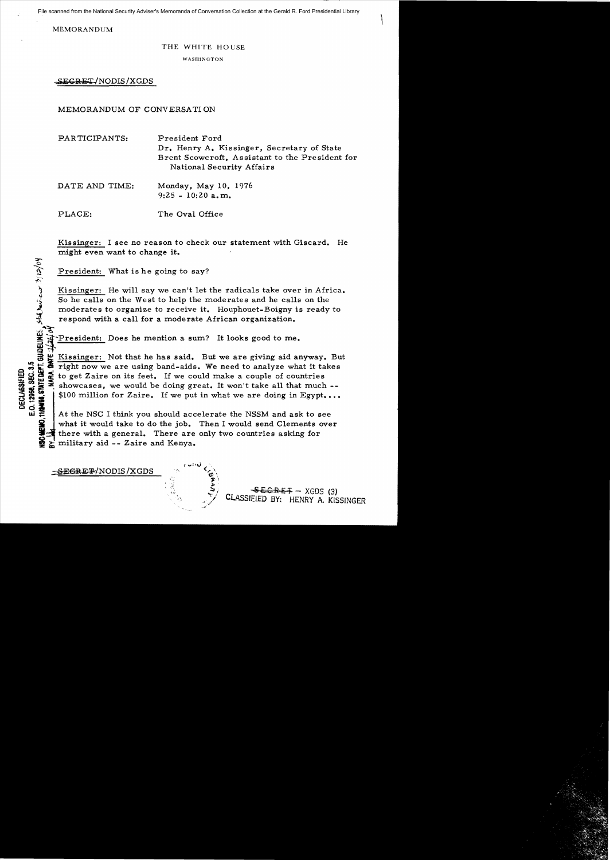File scanned from the National Security Adviser's Memoranda of Conversation Collection at the Gerald R. Ford Presidential Library

MEMORANDUM

io,

..I)~~

## THE WHITE HOUSE

WASHINGTON

SECRET/NODIS/XGDS

MEMORANDUM OF CONVERSATION

PARTICIPANTS: President Ford Dr. Henry A. Kissinger, Secretary of State Brent Scowcroft, Assistant to the President for National Security Affairs

| DATE AND TIME: | Monday, May 10, 1976 |
|----------------|----------------------|
|                | $9:25 - 10:20$ a.m.  |

PLACE: The Oval Office

Kis singer: I see no reason to check our statement with Giscard. He might even want to change it.

President: What is he going to say?

Kissinger: He will say we can't let the radicals take over in Africa. So he calls on the West to help the moderates and he calls on the moderates to organize to receive it. Houphouet-Boigny is ready to respond with a call for a moderate African organization.

~-President: Does he mention a sum? It looks good to me.

Kissinger: Not that he has said. But we are giving aid anyway. But e ::  $\frac{1}{2}$  right now we are using band-aids. We need to analyze what it takes<br>  $\frac{1}{2}$  to get Zaire on its feet. If we could make a couple of countries<br>  $\frac{1}{2}$  showcases, we would be doing great. It won't take al to get Zaire on its feet. If we could make a couple of countries showcases, we would be doing great. It won't take all that much --<br>\$100 million for Zaire. If we put in what we are doing in Egypt....

 $\begin{array}{c}\n\mathbf{Q} \\
\mathbf{Q} \\
\mathbf{Q} \\
\mathbf{Q} \\
\mathbf{Q} \\
\mathbf{Q} \\
\mathbf{Q} \\
\mathbf{Q} \\
\mathbf{Q} \\
\mathbf{Q} \\
\mathbf{Q} \\
\mathbf{Q} \\
\mathbf{Q} \\
\mathbf{Q} \\
\mathbf{Q} \\
\mathbf{Q} \\
\mathbf{Q} \\
\mathbf{Q} \\
\mathbf{Q} \\
\mathbf{Q} \\
\mathbf{Q} \\
\mathbf{Q} \\
\mathbf{Q} \\
\mathbf{Q} \\
\mathbf{Q} \\
\mathbf{Q} \\
\mathbf{Q} \\
\mathbf{Q} \\
\mathbf{Q} \\
\mathbf{Q} \\
\math$ what it would take to do the job. Then I would send Clements over there with a general. There are only two countries asking for military aid -- Zaire and Kenya.

-SEGRE<del>T</del>/NODIS/XGDS

 $SECRE+ - XGDS$  (3)<br>CLASSIFIED BY. HENRY A KIS HENRY A. KISSINGER \  $\ddot{\xi}$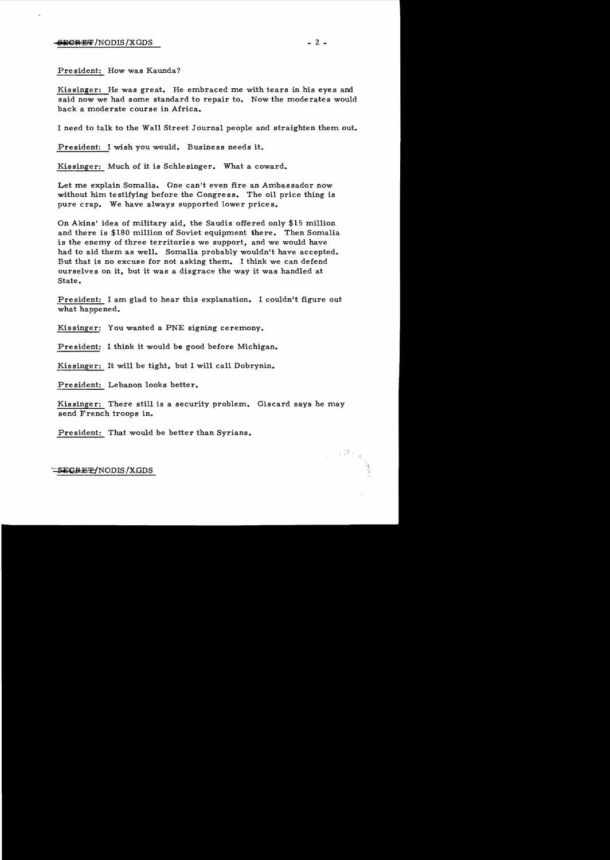President: How was Kaunda?

Kissinger: He was great. He embraced me with tears in his eyes and said now we had some standard to repair to. Now the moderates would back a moderate course in Africa.

I need to talk to the Wall Street Journal people and straighten them out.

President: I wish you would. Business needs it.

Kissinger: Much of it is Schlesinger. What a coward.

Let me explain Somalia. One can't even fire an Ambassador now without him testifying before the Congress. The oil price thing is pure crap. We have always supported lower prices.

On Akins' idea of military aid, the Saudis offered only \$15 million and there is \$180 million of Soviet equipment there. Then Somalia is the enemy of three territories we support, and we would have had to aid them as well. Somalia probably wouldn't have accepted. But that is no excuse for not asking them. I think we can defend ourselves on it, but it was a disgrace the way it was handled at State.

President: I am glad to hear this explanation. I couldn't figure out what happened.

Kissinger: You wanted a PNE signing ceremony.

President: I think it would be good before Michigan.

Kissinger: It will be tight, but I will call Dobrynin.

President: Lebanon looks better.

Kissinger: There still is a security problem. Giscard says he may send French troops in.

President: That would be better than Syrians.

## -SEGRE<del>T</del>/NODIS/XGDS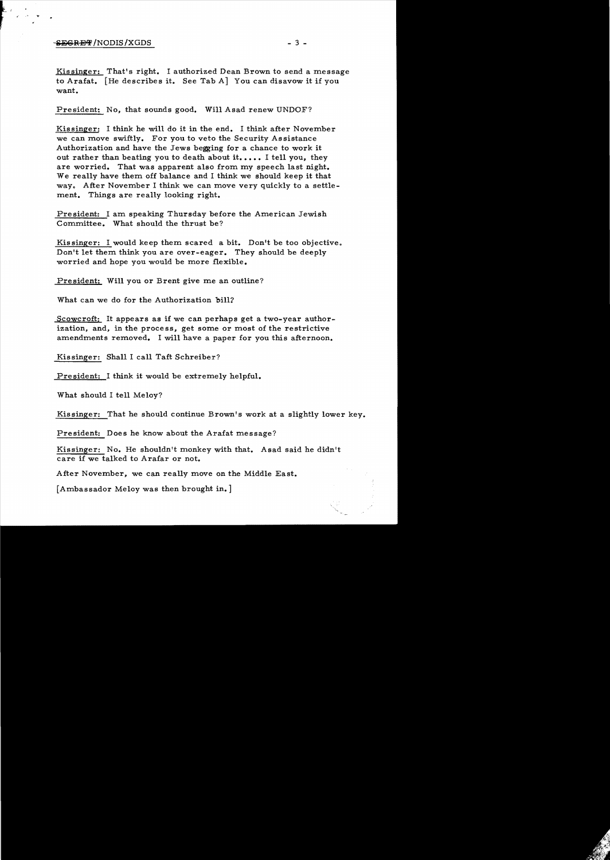## $-$ <del>SECRET</del>/NODIS/XGDS  $-$  3  $-$

~; , f

> Kissinger: That's right. I authorized Dean Brown to send a message to Arafat. [He describes it. See Tab A] You can disavow it if you want.

President: No, that sounds good. Will Asad renew UNDOF?

Kissinger: I think he will do it in the end. I think after November we can move swiftly. For you to veto the Security Assistance Authorization and have the Jews begging for a chance to work it out rather than beating you to death about it..... I tell you, they are worried. That was apparent also from my speech last night. We really have them off balance and I think we should keep it that way. After November I think we can move very quickly to a settlement. Things are really looking right.

President: I am speaking Thursday before the American Jewish Committee. What should the thrust be?

Kissinger: I would keep them scared a bit. Don't be too objective. Don't let them think you are over-eager. They should be deeply worried and hope you would be more flexible.

President: Will you or Brent give me an outline?

What can we do for the Authorization bill?

Scowcroft: It appears as if we can perhaps get a two-year authorization, and, in the process, get some or most of the restrictive amendments removed. I will have a paper for you this afternoon.

Kissinger: Shall I call Taft Schreiber?

President: I think it would be extremely helpful.

What should I tell Meloy?

Kissinger: That he should continue Brown's work at a slightly lower key.

President: Does he know about the Arafat message?

Kissinger: No. He shouldn't monkey with that. Asad said he didn't care if we talked to Arafar or not.

After November, we can really move on the Middle East.

[Ambassador Meloy was then brought in.]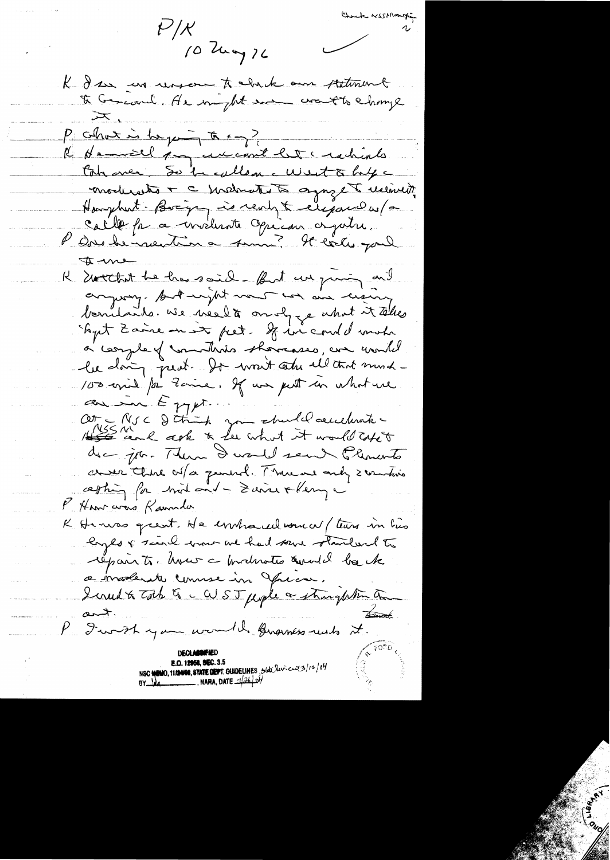Check NSSMarge  $t'/\mathcal{K}$ 10 kmg 76 K I se un reason to which am statement I Grand. He might are want to change  $P_1$  colhour is the pain to  $\leftarrow$ K demail pour current let credints Cohaver, So heallen west & hype moderate + c metrates agreget received. Hangeburt - Boxing is realy & exigance us / a calle pa a modernte Opéran orgatre. P au le neutre a sin ? It locks paul  $4 - 1$ R southet be has said - But we giving and anyway. Autanjst nous un aux cizing bondaits. We need à onlyge what it telles Shyrt Zaine en est pret. It in could mohr à complex montaries showcases, an unité le doing peut It won't solu ill that much-100 avril /or Zame. If we get in what we au in Esppt.<br>Otre RIC d'Aint des churches audients. creer there of a general. Three and sometimes cepting for mod and - Saince + Keny a P Hom aros Ramila K Henro great He instructed women (teams in his loyes & search was we had some standard to repair to. hver a productes audil be the a moderate connue in frace. Liruet to Total & CUST people a strongfation on Brook  $rac{1}{\sqrt{2}}$ P I with you would knowners reads it. **E.O. 12958, SEC. 3.5** NSC NEWO, 11/2408, STATE ORPT. GUIDELINES, State Reviews 3/12/04<br>BY NA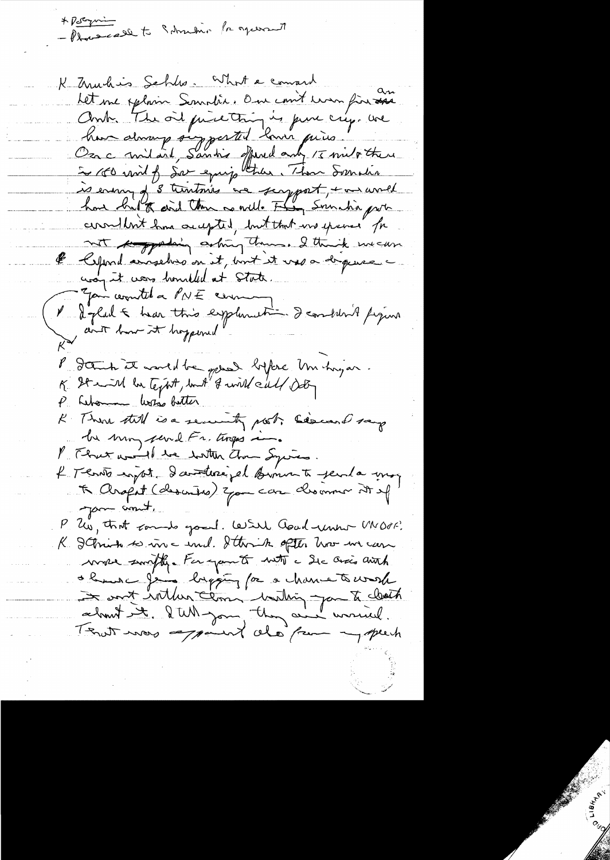-Placecell to Schristin for agerment  $\frac{1}{\sqrt{2}}$ 

K Muchis Schles What a command Let me oplain Soundir. One court mon fin au Ant The oil price this is pure cry. we<br>have always surprested lance prices ...<br>Oza c milaid, Sandis offered any / I milothere is enough 3 trantaires are support, + an unred have trat to don't them as well. They soundid port communit home accepted, but that we grave for not the grading asking them. I think we can le Cepond annaches on it, bout it uses depuise. using it was hounded at State. Jan countel a PNE cerem V & glad & hear this explimation I condition A figure P Dann at mort de pas bifore Un hugar.<br>K It with he text, but I will call dot P. Lebourne With Butter K There till is a security post. Siemand says be mon pend Fr. tinges P That would be with that Syrics. 4 Tenão import d'avaiterrégal somments penda une K Arapit (descrites) you can descomme it ef your count. P. Us, that cando good. Will Good unto MOPF. K I Frink to in a und. Ittirik often how in care move smally. For you to with a Sic arcis auth de la mes les la partie de la chance tours de about entlement unding you to clock